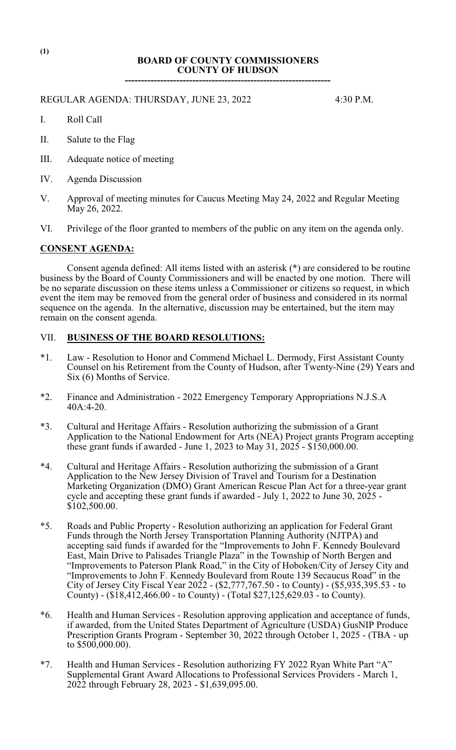# **BOARD OF COUNTY COMMISSIONERS COUNTY OF HUDSON**

**----------------------------------------------------------------**

#### REGULAR AGENDA: THURSDAY, JUNE 23, 2022 4:30 P.M.

- I. Roll Call
- II. Salute to the Flag
- III. Adequate notice of meeting
- IV. Agenda Discussion
- V. Approval of meeting minutes for Caucus Meeting May 24, 2022 and Regular Meeting May 26, 2022.
- VI. Privilege of the floor granted to members of the public on any item on the agenda only.

## **CONSENT AGENDA:**

Consent agenda defined: All items listed with an asterisk (\*) are considered to be routine business by the Board of County Commissioners and will be enacted by one motion. There will be no separate discussion on these items unless a Commissioner or citizens so request, in which event the item may be removed from the general order of business and considered in its normal sequence on the agenda. In the alternative, discussion may be entertained, but the item may remain on the consent agenda.

## VII. **BUSINESS OF THE BOARD RESOLUTIONS:**

- \*1. Law Resolution to Honor and Commend Michael L. Dermody, First Assistant County Counsel on his Retirement from the County of Hudson, after Twenty-Nine (29) Years and Six (6) Months of Service.
- \*2. Finance and Administration 2022 Emergency Temporary Appropriations N.J.S.A 40A:4-20.
- \*3. Cultural and Heritage Affairs Resolution authorizing the submission of a Grant Application to the National Endowment for Arts (NEA) Project grants Program accepting these grant funds if awarded - June 1, 2023 to May 31, 2025 - \$150,000.00.
- \*4. Cultural and Heritage Affairs Resolution authorizing the submission of a Grant Application to the New Jersey Division of Travel and Tourism for a Destination Marketing Organization (DMO) Grant American Rescue Plan Act for a three-year grant cycle and accepting these grant funds if awarded - July 1, 2022 to June 30, 2025 - \$102,500.00.
- \*5. Roads and Public Property Resolution authorizing an application for Federal Grant Funds through the North Jersey Transportation Planning Authority (NJTPA) and accepting said funds if awarded for the "Improvements to John F. Kennedy Boulevard East, Main Drive to Palisades Triangle Plaza" in the Township of North Bergen and "Improvements to Paterson Plank Road," in the City of Hoboken/City of Jersey City and "Improvements to John F. Kennedy Boulevard from Route 139 Secaucus Road" in the City of Jersey City Fiscal Year 2022 - (\$2,777,767.50 - to County) - (\$5,935,395.53 - to County) - (\$18,412,466.00 - to County) - (Total \$27,125,629.03 - to County).
- \*6. Health and Human Services Resolution approving application and acceptance of funds, if awarded, from the United States Department of Agriculture (USDA) GusNIP Produce Prescription Grants Program - September 30, 2022 through October 1, 2025 - (TBA - up to  $$500,000.00$ ).
- \*7. Health and Human Services Resolution authorizing FY 2022 Ryan White Part "A" Supplemental Grant Award Allocations to Professional Services Providers - March 1, 2022 through February 28, 2023 - \$1,639,095.00.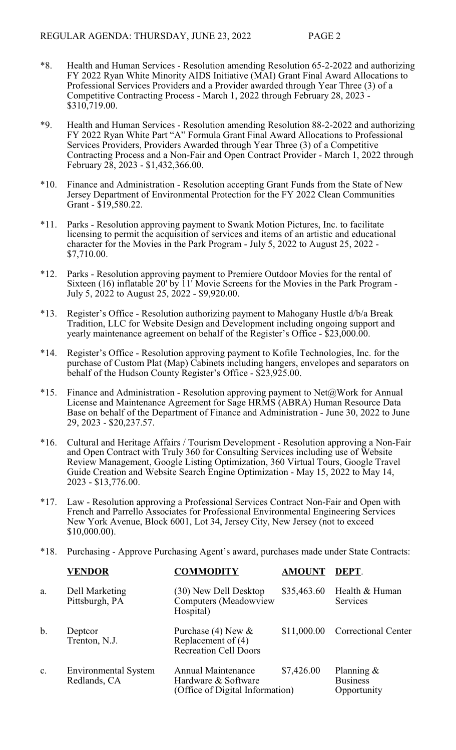- \*8. Health and Human Services Resolution amending Resolution 65-2-2022 and authorizing FY 2022 Ryan White Minority AIDS Initiative (MAI) Grant Final Award Allocations to Professional Services Providers and a Provider awarded through Year Three (3) of a Competitive Contracting Process - March 1, 2022 through February 28, 2023 - \$310,719.00.
- \*9. Health and Human Services Resolution amending Resolution 88-2-2022 and authorizing FY 2022 Ryan White Part "A" Formula Grant Final Award Allocations to Professional Services Providers, Providers Awarded through Year Three (3) of a Competitive Contracting Process and a Non-Fair and Open Contract Provider - March 1, 2022 through February 28, 2023 - \$1,432,366.00.
- \*10. Finance and Administration Resolution accepting Grant Funds from the State of New Jersey Department of Environmental Protection for the FY 2022 Clean Communities Grant - \$19,580.22.
- \*11. Parks Resolution approving payment to Swank Motion Pictures, Inc. to facilitate licensing to permit the acquisition of services and items of an artistic and educational character for the Movies in the Park Program - July 5, 2022 to August 25, 2022 - \$7,710.00.
- \*12. Parks Resolution approving payment to Premiere Outdoor Movies for the rental of Sixteen (16) inflatable 20' by 11' Movie Screens for the Movies in the Park Program - July 5, 2022 to August 25, 2022 - \$9,920.00.
- \*13. Register's Office Resolution authorizing payment to Mahogany Hustle d/b/a Break Tradition, LLC for Website Design and Development including ongoing support and yearly maintenance agreement on behalf of the Register's Office -  $\overline{$}23,000.00$ .
- \*14. Register's Office Resolution approving payment to Kofile Technologies, Inc. for the purchase of Custom Plat (Map) Cabinets including hangers, envelopes and separators on behalf of the Hudson County Register's Office - \$23,925.00.
- \*15. Finance and Administration Resolution approving payment to Net@Work for Annual License and Maintenance Agreement for Sage HRMS (ABRA) Human Resource Data Base on behalf of the Department of Finance and Administration - June 30, 2022 to June 29, 2023 - \$20,237.57.
- \*16. Cultural and Heritage Affairs / Tourism Development Resolution approving a Non-Fair and Open Contract with Truly 360 for Consulting Services including use of Website Review Management, Google Listing Optimization, 360 Virtual Tours, Google Travel Guide Creation and Website Search Engine Optimization - May 15, 2022 to May 14, 2023 - \$13,776.00.
- \*17. Law Resolution approving a Professional Services Contract Non-Fair and Open with French and Parrello Associates for Professional Environmental Engineering Services New York Avenue, Block 6001, Lot 34, Jersey City, New Jersey (not to exceed \$10,000.00).
- \*18. Purchasing Approve Purchasing Agent's award, purchases made under State Contracts:

|                | <b>VENDOR</b>                               | <b>COMMODITY</b>                                                              | <b>AMOUNT</b> | DEPT.                                           |
|----------------|---------------------------------------------|-------------------------------------------------------------------------------|---------------|-------------------------------------------------|
| a.             | Dell Marketing<br>Pittsburgh, PA            | (30) New Dell Desktop<br><b>Computers</b> (Meadowview<br>Hospital)            | \$35,463.60   | Health & Human<br><b>Services</b>               |
| b.             | Deptcor<br>Trenton, N.J.                    | Purchase (4) New $\&$<br>Replacement of $(4)$<br><b>Recreation Cell Doors</b> | \$11,000.00   | <b>Correctional Center</b>                      |
| $\mathbf{c}$ . | <b>Environmental System</b><br>Redlands, CA | Annual Maintenance<br>Hardware & Software<br>(Office of Digital Information)  | \$7,426.00    | Planning $\&$<br><b>Business</b><br>Opportunity |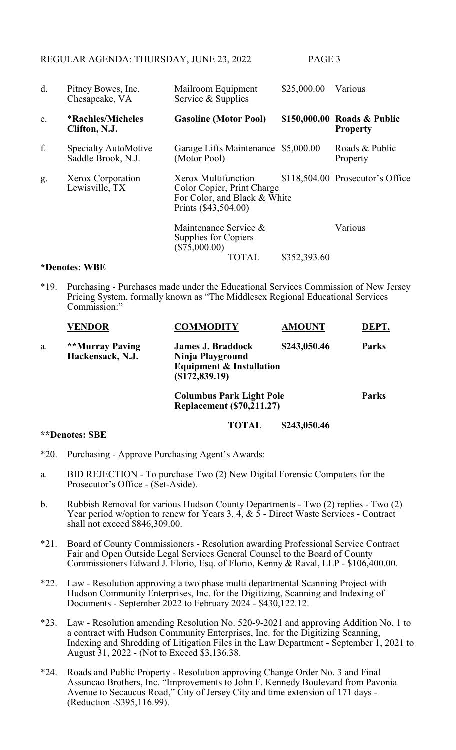REGULAR AGENDA: THURSDAY, JUNE 23, 2022 PAGE 3

| d. | Pitney Bowes, Inc.<br>Chesapeake, VA              | Mailroom Equipment<br>Service & Supplies                                  | \$25,000.00                                                      | Various                                        |  |
|----|---------------------------------------------------|---------------------------------------------------------------------------|------------------------------------------------------------------|------------------------------------------------|--|
| e. | <i><b>*Rachles/Micheles</b></i><br>Clifton, N.J.  | <b>Gasoline (Motor Pool)</b>                                              |                                                                  | \$150,000.00 Roads & Public<br><b>Property</b> |  |
| f. | <b>Specialty AutoMotive</b><br>Saddle Brook, N.J. | Garage Lifts Maintenance \$5,000.00<br>(Motor Pool)                       |                                                                  | Roads & Public<br>Property                     |  |
| g. | Xerox Corporation<br>Lewisville, TX               | Xerox Multifunction<br>Color Copier, Print Charge<br>Prints (\$43,504.00) | \$118,504.00 Prosecutor's Office<br>For Color, and Black & White |                                                |  |
|    |                                                   | Maintenance Service &<br>Supplies for Copiers<br>$(\$75,000.00)$          |                                                                  | Various                                        |  |
|    | *Denotes: WBE                                     | TOTAL                                                                     | \$352,393.60                                                     |                                                |  |

#### \*19. Purchasing - Purchases made under the Educational Services Commission of New Jersey Pricing System, formally known as "The Middlesex Regional Educational Services Commission:"

|    | <b>VENDOR</b>                       | <b>COMMODITY</b>                                                                                      | <b>AMOUNT</b> | DEPT.        |
|----|-------------------------------------|-------------------------------------------------------------------------------------------------------|---------------|--------------|
| a. | **Murray Paving<br>Hackensack, N.J. | <b>James J. Braddock</b><br>Ninja Playground<br><b>Equipment &amp; Installation</b><br>(\$172,839.19) | \$243,050.46  | <b>Parks</b> |
|    |                                     | <b>Columbus Park Light Pole</b><br><b>Replacement (\$70,211.27)</b>                                   |               | <b>Parks</b> |

**TOTAL \$243,050.46**

## **\*\*Denotes: SBE**

- \*20. Purchasing Approve Purchasing Agent's Awards:
- a. BID REJECTION To purchase Two (2) New Digital Forensic Computers for the Prosecutor's Office - (Set-Aside).
- b. Rubbish Removal for various Hudson County Departments Two (2) replies Two (2) Year period w/option to renew for Years 3,  $\vec{4}$ ,  $\& \vec{5}$  - Direct Waste Services - Contract shall not exceed \$846,309.00.
- \*21. Board of County Commissioners Resolution awarding Professional Service Contract Fair and Open Outside Legal Services General Counsel to the Board of County Commissioners Edward J. Florio, Esq. of Florio, Kenny & Raval, LLP - \$106,400.00.
- \*22. Law Resolution approving a two phase multi departmental Scanning Project with Hudson Community Enterprises, Inc. for the Digitizing, Scanning and Indexing of Documents - September 2022 to February 2024 - \$430,122.12.
- \*23. Law Resolution amending Resolution No. 520-9-2021 and approving Addition No. 1 to a contract with Hudson Community Enterprises, Inc. for the Digitizing Scanning, Indexing and Shredding of Litigation Files in the Law Department - September 1, 2021 to August 31, 2022 - (Not to Exceed \$3,136.38.
- \*24. Roads and Public Property Resolution approving Change Order No. 3 and Final Assuncao Brothers, Inc. "Improvements to John F. Kennedy Boulevard from Pavonia Avenue to Secaucus Road," City of Jersey City and time extension of 171 days - (Reduction -\$395,116.99).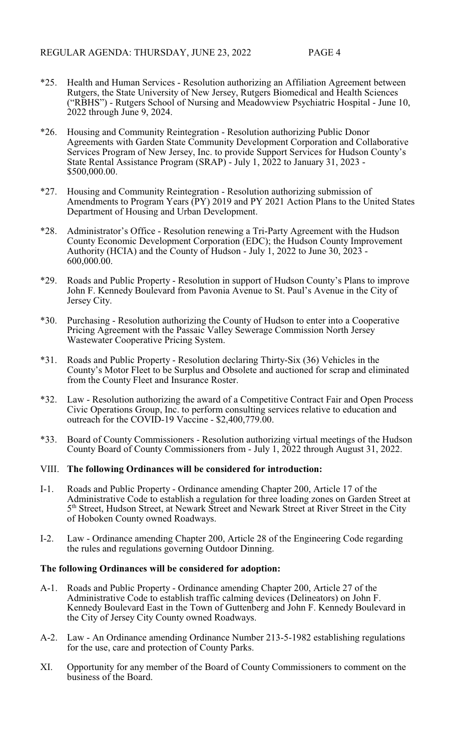- \*25. Health and Human Services Resolution authorizing an Affiliation Agreement between Rutgers, the State University of New Jersey, Rutgers Biomedical and Health Sciences ("RBHS") - Rutgers School of Nursing and Meadowview Psychiatric Hospital - June 10, 2022 through June 9, 2024.
- \*26. Housing and Community Reintegration Resolution authorizing Public Donor Agreements with Garden State Community Development Corporation and Collaborative Services Program of New Jersey, Inc. to provide Support Services for Hudson County's State Rental Assistance Program (SRAP) - July 1, 2022 to January 31, 2023 - \$500,000.00.
- \*27. Housing and Community Reintegration Resolution authorizing submission of Amendments to Program Years (PY) 2019 and PY 2021 Action Plans to the United States Department of Housing and Urban Development.
- \*28. Administrator's Office Resolution renewing a Tri-Party Agreement with the Hudson County Economic Development Corporation (EDC); the Hudson County Improvement Authority (HCIA) and the County of Hudson - July 1, 2022 to June 30, 2023 - 600,000.00.
- \*29. Roads and Public Property Resolution in support of Hudson County's Plans to improve John F. Kennedy Boulevard from Pavonia Avenue to St. Paul's Avenue in the City of Jersey City.
- \*30. Purchasing Resolution authorizing the County of Hudson to enter into a Cooperative Pricing Agreement with the Passaic Valley Sewerage Commission North Jersey Wastewater Cooperative Pricing System.
- \*31. Roads and Public Property Resolution declaring Thirty-Six (36) Vehicles in the County's Motor Fleet to be Surplus and Obsolete and auctioned for scrap and eliminated from the County Fleet and Insurance Roster.
- \*32. Law Resolution authorizing the award of a Competitive Contract Fair and Open Process Civic Operations Group, Inc. to perform consulting services relative to education and outreach for the COVID-19 Vaccine - \$2,400,779.00.
- \*33. Board of County Commissioners Resolution authorizing virtual meetings of the Hudson County Board of County Commissioners from - July 1, 2022 through August 31, 2022.

## VIII. **The following Ordinances will be considered for introduction:**

- I-1. Roads and Public Property Ordinance amending Chapter 200, Article 17 of the Administrative Code to establish a regulation for three loading zones on Garden Street at 5<sup>th</sup> Street, Hudson Street, at Newark Street and Newark Street at River Street in the City of Hoboken County owned Roadways.
- I-2. Law Ordinance amending Chapter 200, Article 28 of the Engineering Code regarding the rules and regulations governing Outdoor Dinning.

## **The following Ordinances will be considered for adoption:**

- A-1. Roads and Public Property Ordinance amending Chapter 200, Article 27 of the Administrative Code to establish traffic calming devices (Delineators) on John F. Kennedy Boulevard East in the Town of Guttenberg and John F. Kennedy Boulevard in the City of Jersey City County owned Roadways.
- A-2. Law An Ordinance amending Ordinance Number 213-5-1982 establishing regulations for the use, care and protection of County Parks.
- XI. Opportunity for any member of the Board of County Commissioners to comment on the business of the Board.